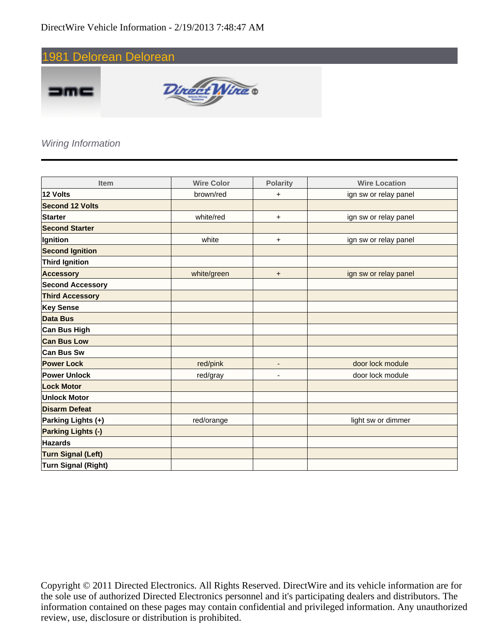

#### Wiring Information

| <b>Item</b>                | <b>Wire Color</b> | <b>Polarity</b>              | <b>Wire Location</b>  |
|----------------------------|-------------------|------------------------------|-----------------------|
| 12 Volts                   | brown/red         | $\ddot{}$                    | ign sw or relay panel |
| <b>Second 12 Volts</b>     |                   |                              |                       |
| <b>Starter</b>             | white/red         | $\ddot{}$                    | ign sw or relay panel |
| <b>Second Starter</b>      |                   |                              |                       |
| Ignition                   | white             | $\ddot{}$                    | ign sw or relay panel |
| <b>Second Ignition</b>     |                   |                              |                       |
| <b>Third Ignition</b>      |                   |                              |                       |
| <b>Accessory</b>           | white/green       | $\ddot{}$                    | ign sw or relay panel |
| <b>Second Accessory</b>    |                   |                              |                       |
| <b>Third Accessory</b>     |                   |                              |                       |
| <b>Key Sense</b>           |                   |                              |                       |
| <b>Data Bus</b>            |                   |                              |                       |
| <b>Can Bus High</b>        |                   |                              |                       |
| <b>Can Bus Low</b>         |                   |                              |                       |
| <b>Can Bus Sw</b>          |                   |                              |                       |
| <b>Power Lock</b>          | red/pink          | $\qquad \qquad \blacksquare$ | door lock module      |
| <b>Power Unlock</b>        | red/gray          | ٠                            | door lock module      |
| <b>Lock Motor</b>          |                   |                              |                       |
| <b>Unlock Motor</b>        |                   |                              |                       |
| <b>Disarm Defeat</b>       |                   |                              |                       |
| Parking Lights (+)         | red/orange        |                              | light sw or dimmer    |
| <b>Parking Lights (-)</b>  |                   |                              |                       |
| <b>Hazards</b>             |                   |                              |                       |
| <b>Turn Signal (Left)</b>  |                   |                              |                       |
| <b>Turn Signal (Right)</b> |                   |                              |                       |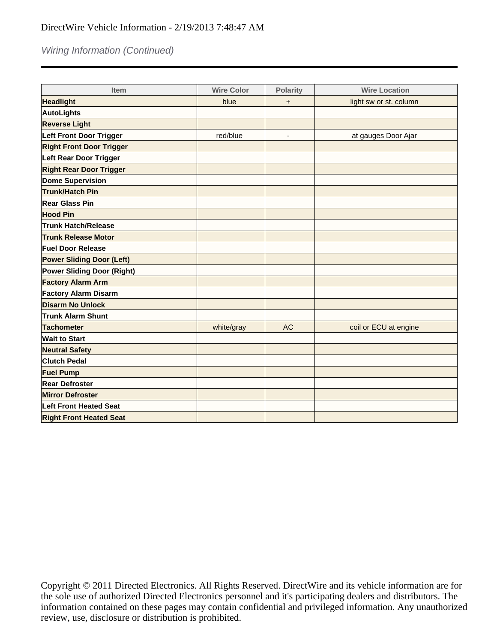### Wiring Information (Continued)

| <b>Item</b>                       | <b>Wire Color</b> | <b>Polarity</b>          | <b>Wire Location</b>   |
|-----------------------------------|-------------------|--------------------------|------------------------|
| <b>Headlight</b>                  | blue              | $\ddot{}$                | light sw or st. column |
| <b>AutoLights</b>                 |                   |                          |                        |
| <b>Reverse Light</b>              |                   |                          |                        |
| <b>Left Front Door Trigger</b>    | red/blue          | $\overline{\phantom{a}}$ | at gauges Door Ajar    |
| <b>Right Front Door Trigger</b>   |                   |                          |                        |
| <b>Left Rear Door Trigger</b>     |                   |                          |                        |
| <b>Right Rear Door Trigger</b>    |                   |                          |                        |
| <b>Dome Supervision</b>           |                   |                          |                        |
| <b>Trunk/Hatch Pin</b>            |                   |                          |                        |
| <b>Rear Glass Pin</b>             |                   |                          |                        |
| <b>Hood Pin</b>                   |                   |                          |                        |
| <b>Trunk Hatch/Release</b>        |                   |                          |                        |
| <b>Trunk Release Motor</b>        |                   |                          |                        |
| <b>Fuel Door Release</b>          |                   |                          |                        |
| <b>Power Sliding Door (Left)</b>  |                   |                          |                        |
| <b>Power Sliding Door (Right)</b> |                   |                          |                        |
| <b>Factory Alarm Arm</b>          |                   |                          |                        |
| <b>Factory Alarm Disarm</b>       |                   |                          |                        |
| <b>Disarm No Unlock</b>           |                   |                          |                        |
| <b>Trunk Alarm Shunt</b>          |                   |                          |                        |
| <b>Tachometer</b>                 | white/gray        | <b>AC</b>                | coil or ECU at engine  |
| <b>Wait to Start</b>              |                   |                          |                        |
| <b>Neutral Safety</b>             |                   |                          |                        |
| <b>Clutch Pedal</b>               |                   |                          |                        |
| <b>Fuel Pump</b>                  |                   |                          |                        |
| <b>Rear Defroster</b>             |                   |                          |                        |
| <b>Mirror Defroster</b>           |                   |                          |                        |
| <b>Left Front Heated Seat</b>     |                   |                          |                        |
| <b>Right Front Heated Seat</b>    |                   |                          |                        |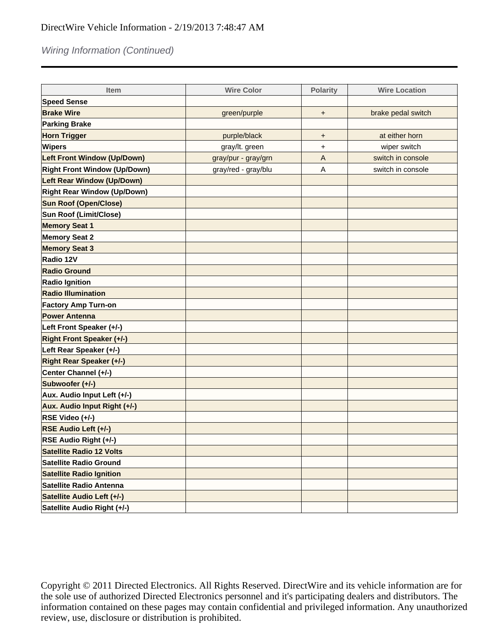# Wiring Information (Continued)

| <b>Item</b>                         | <b>Wire Color</b>   | <b>Polarity</b> | <b>Wire Location</b> |
|-------------------------------------|---------------------|-----------------|----------------------|
| <b>Speed Sense</b>                  |                     |                 |                      |
| <b>Brake Wire</b>                   | green/purple        | +               | brake pedal switch   |
| <b>Parking Brake</b>                |                     |                 |                      |
| <b>Horn Trigger</b>                 | purple/black        | $\ddot{}$       | at either horn       |
| <b>Wipers</b>                       | gray/lt. green      | +               | wiper switch         |
| <b>Left Front Window (Up/Down)</b>  | gray/pur - gray/grn | $\overline{A}$  | switch in console    |
| <b>Right Front Window (Up/Down)</b> | gray/red - gray/blu | Α               | switch in console    |
| Left Rear Window (Up/Down)          |                     |                 |                      |
| <b>Right Rear Window (Up/Down)</b>  |                     |                 |                      |
| <b>Sun Roof (Open/Close)</b>        |                     |                 |                      |
| Sun Roof (Limit/Close)              |                     |                 |                      |
| <b>Memory Seat 1</b>                |                     |                 |                      |
| <b>Memory Seat 2</b>                |                     |                 |                      |
| <b>Memory Seat 3</b>                |                     |                 |                      |
| Radio 12V                           |                     |                 |                      |
| <b>Radio Ground</b>                 |                     |                 |                      |
| <b>Radio Ignition</b>               |                     |                 |                      |
| <b>Radio Illumination</b>           |                     |                 |                      |
| <b>Factory Amp Turn-on</b>          |                     |                 |                      |
| <b>Power Antenna</b>                |                     |                 |                      |
| Left Front Speaker (+/-)            |                     |                 |                      |
| <b>Right Front Speaker (+/-)</b>    |                     |                 |                      |
| Left Rear Speaker (+/-)             |                     |                 |                      |
| <b>Right Rear Speaker (+/-)</b>     |                     |                 |                      |
| Center Channel (+/-)                |                     |                 |                      |
| Subwoofer (+/-)                     |                     |                 |                      |
| Aux. Audio Input Left (+/-)         |                     |                 |                      |
| Aux. Audio Input Right (+/-)        |                     |                 |                      |
| RSE Video (+/-)                     |                     |                 |                      |
| RSE Audio Left (+/-)                |                     |                 |                      |
| RSE Audio Right (+/-)               |                     |                 |                      |
| <b>Satellite Radio 12 Volts</b>     |                     |                 |                      |
| <b>Satellite Radio Ground</b>       |                     |                 |                      |
| <b>Satellite Radio Ignition</b>     |                     |                 |                      |
| Satellite Radio Antenna             |                     |                 |                      |
| Satellite Audio Left (+/-)          |                     |                 |                      |
| Satellite Audio Right (+/-)         |                     |                 |                      |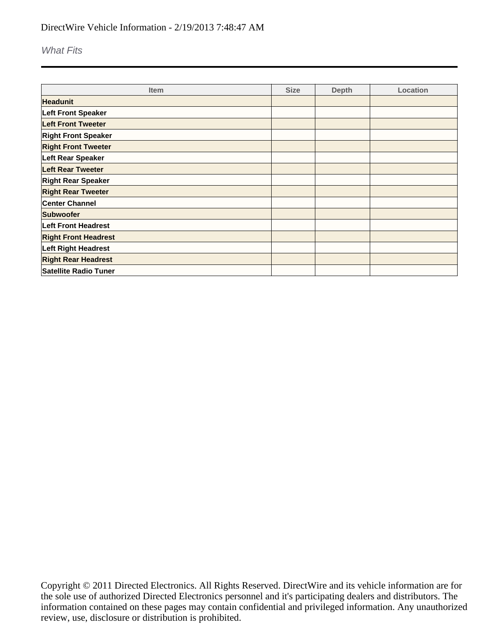What Fits

| <b>Item</b>                 | <b>Size</b> | <b>Depth</b> | Location |
|-----------------------------|-------------|--------------|----------|
| <b>Headunit</b>             |             |              |          |
| Left Front Speaker          |             |              |          |
| <b>Left Front Tweeter</b>   |             |              |          |
| <b>Right Front Speaker</b>  |             |              |          |
| <b>Right Front Tweeter</b>  |             |              |          |
| Left Rear Speaker           |             |              |          |
| <b>Left Rear Tweeter</b>    |             |              |          |
| <b>Right Rear Speaker</b>   |             |              |          |
| <b>Right Rear Tweeter</b>   |             |              |          |
| <b>Center Channel</b>       |             |              |          |
| Subwoofer                   |             |              |          |
| <b>Left Front Headrest</b>  |             |              |          |
| <b>Right Front Headrest</b> |             |              |          |
| <b>Left Right Headrest</b>  |             |              |          |
| <b>Right Rear Headrest</b>  |             |              |          |
| Satellite Radio Tuner       |             |              |          |